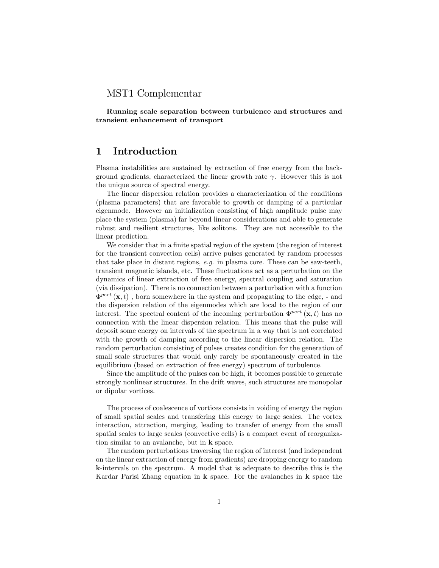### MST1 Complementar

Running scale separation between turbulence and structures and transient enhancement of transport

# 1 Introduction

Plasma instabilities are sustained by extraction of free energy from the background gradients, characterized the linear growth rate  $\gamma$ . However this is not the unique source of spectral energy.

The linear dispersion relation provides a characterization of the conditions (plasma parameters) that are favorable to growth or damping of a particular eigenmode. However an initialization consisting of high amplitude pulse may place the system (plasma) far beyond linear considerations and able to generate robust and resilient structures, like solitons. They are not accessible to the linear prediction.

We consider that in a finite spatial region of the system (the region of interest for the transient convection cells) arrive pulses generated by random processes that take place in distant regions,  $e.g.$  in plasma core. These can be saw-teeth, transient magnetic islands, etc. These fluctuations act as a perturbation on the dynamics of linear extraction of free energy, spectral coupling and saturation (via dissipation). There is no connection between a perturbation with a function  $\Phi^{pert}(\mathbf{x},t)$ , born somewhere in the system and propagating to the edge, - and the dispersion relation of the eigenmodes which are local to the region of our interest. The spectral content of the incoming perturbation  $\Phi^{pert}(\mathbf{x},t)$  has no connection with the linear dispersion relation. This means that the pulse will deposit some energy on intervals of the spectrum in a way that is not correlated with the growth of damping according to the linear dispersion relation. The random perturbation consisting of pulses creates condition for the generation of small scale structures that would only rarely be spontaneously created in the equilibrium (based on extraction of free energy) spectrum of turbulence.

Since the amplitude of the pulses can be high, it becomes possible to generate strongly nonlinear structures. In the drift waves, such structures are monopolar or dipolar vortices.

The process of coalescence of vortices consists in voiding of energy the region of small spatial scales and transfering this energy to large scales. The vortex interaction, attraction, merging, leading to transfer of energy from the small spatial scales to large scales (convective cells) is a compact event of reorganization similar to an avalanche, but in k space.

The random perturbations traversing the region of interest (and independent on the linear extraction of energy from gradients) are dropping energy to random k-intervals on the spectrum. A model that is adequate to describe this is the Kardar Parisi Zhang equation in  $k$  space. For the avalanches in  $k$  space the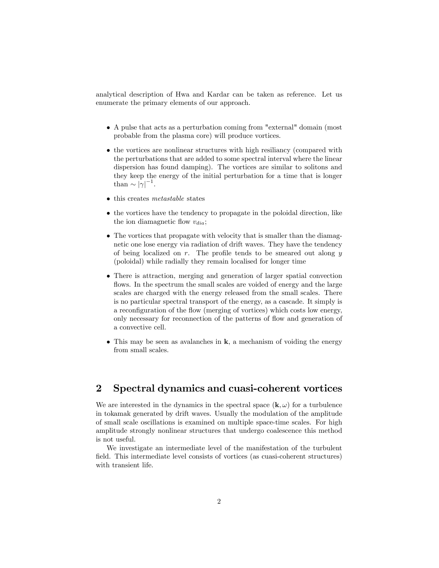analytical description of Hwa and Kardar can be taken as reference. Let us enumerate the primary elements of our approach.

- A pulse that acts as a perturbation coming from "external" domain (most probable from the plasma core) will produce vortices.
- the vortices are nonlinear structures with high resiliancy (compared with the perturbations that are added to some spectral interval where the linear dispersion has found damping). The vortices are similar to solitons and they keep the energy of the initial perturbation for a time that is longer than  $\sim |\gamma|^{-1}$ .
- this creates *metastable* states
- the vortices have the tendency to propagate in the poloidal direction, like the ion diamagnetic flow  $v_{dia}$ ;
- The vortices that propagate with velocity that is smaller than the diamagnetic one lose energy via radiation of drift waves. They have the tendency of being localized on  $r$ . The profile tends to be smeared out along  $y$ (poloidal) while radially they remain localised for longer time
- There is attraction, merging and generation of larger spatial convection flows. In the spectrum the small scales are voided of energy and the large scales are charged with the energy released from the small scales. There is no particular spectral transport of the energy, as a cascade. It simply is a reconfiguration of the flow (merging of vortices) which costs low energy, only necessary for reconnection of the patterns of flow and generation of a convective cell.
- $\bullet$  This may be seen as avalanches in **k**, a mechanism of voiding the energy from small scales.

# 2 Spectral dynamics and cuasi-coherent vortices

We are interested in the dynamics in the spectral space  $(k, \omega)$  for a turbulence in tokamak generated by drift waves. Usually the modulation of the amplitude of small scale oscillations is examined on multiple space-time scales. For high amplitude strongly nonlinear structures that undergo coalescence this method is not useful.

We investigate an intermediate level of the manifestation of the turbulent field. This intermediate level consists of vortices (as cuasi-coherent structures) with transient life.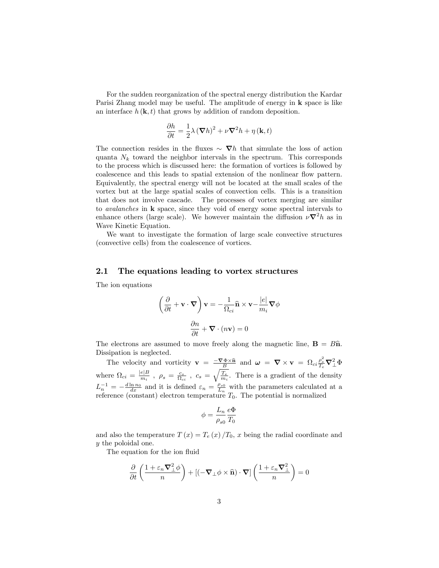For the sudden reorganization of the spectral energy distribution the Kardar Parisi Zhang model may be useful. The amplitude of energy in k space is like an interface  $h(\mathbf{k}, t)$  that grows by addition of random deposition.

$$
\frac{\partial h}{\partial t} = \frac{1}{2}\lambda (\nabla h)^2 + \nu \nabla^2 h + \eta (\mathbf{k}, t)
$$

The connection resides in the fluxes  $\sim \nabla h$  that simulate the loss of action quanta  $N_k$  toward the neighbor intervals in the spectrum. This corresponds to the process which is discussed here: the formation of vortices is followed by coalescence and this leads to spatial extension of the nonlinear flow pattern. Equivalently, the spectral energy will not be located at the small scales of the vortex but at the large spatial scales of convection cells. This is a transition that does not involve cascade. The processes of vortex merging are similar to avalanches in k space, since they void of energy some spectral intervals to enhance others (large scale). We however maintain the diffusion  $\nu \nabla^2 h$  as in Wave Kinetic Equation.

We want to investigate the formation of large scale convective structures (convective cells) from the coalescence of vortices.

### 2.1 The equations leading to vortex structures

The ion equations

$$
\left(\frac{\partial}{\partial t} + \mathbf{v} \cdot \nabla\right) \mathbf{v} = -\frac{1}{\Omega_{ci}} \mathbf{\hat{n}} \times \mathbf{v} - \frac{|e|}{m_i} \nabla \phi
$$

$$
\frac{\partial n}{\partial t} + \nabla \cdot (n\mathbf{v}) = 0
$$

The electrons are assumed to move freely along the magnetic line,  $\mathbf{B} = B\hat{\mathbf{n}}$ . Dissipation is neglected.

The velocity and vorticity  $\mathbf{v} = \frac{-\nabla \Phi \times \hat{\mathbf{n}}}{B}$  and  $\boldsymbol{\omega} = \nabla \times \mathbf{v} = \Omega_{ci} \frac{\rho_s^2}{T_e} \nabla_{\perp}^2 \Phi$ where  $\Omega_{ci} = \frac{|e|B}{m_i}$ ,  $\rho_s = \frac{c_s}{\Omega_{ci}}$ ,  $c_s = \sqrt{\frac{T_e}{m_i}}$ . There is a gradient of the density  $L_n^{-1} = -\frac{d \ln n_0}{dx}$  and it is defined  $\varepsilon_n = \frac{\rho_{s0}}{L_n}$  with the parameters calculated at a reference (constant) electron temperature  $T_0$ . The potential is normalized

$$
\phi = \frac{L_n}{\rho_{s0}} \frac{e\Phi}{T_0}
$$

and also the temperature  $T(x) = T_e(x)/T_0$ , x being the radial coordinate and y the poloidal one.

The equation for the ion fluid

$$
\frac{\partial}{\partial t}\left(\frac{1+\varepsilon_n\boldsymbol{\nabla}_\perp^2\phi}{n}\right)+\left[(-\boldsymbol{\nabla}_\perp\phi\times\widehat{\mathbf{n}})\cdot\boldsymbol{\nabla}\right]\left(\frac{1+\varepsilon_n\boldsymbol{\nabla}_\perp^2}{n}\right)=0
$$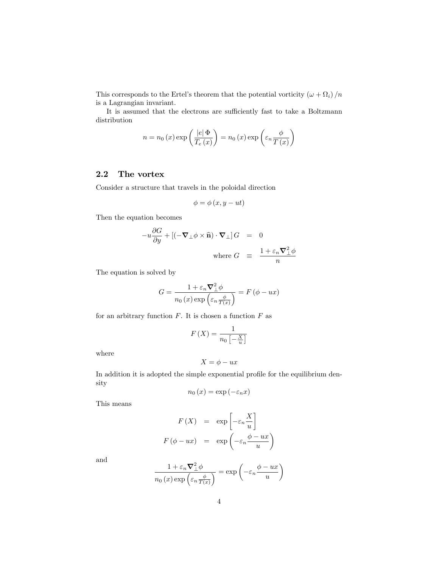This corresponds to the Ertel's theorem that the potential vorticity  $(\omega + \Omega_i)/n$ is a Lagrangian invariant.

It is assumed that the electrons are sufficiently fast to take a Boltzmann distribution

$$
n = n_0(x) \exp\left(\frac{|e| \Phi}{T_e(x)}\right) = n_0(x) \exp\left(\varepsilon_n \frac{\phi}{T(x)}\right)
$$

# 2.2 The vortex

Consider a structure that travels in the poloidal direction

$$
\phi = \phi(x, y - ut)
$$

Then the equation becomes

$$
-u\frac{\partial G}{\partial y} + [(-\nabla_{\perp}\phi \times \hat{\mathbf{n}}) \cdot \nabla_{\perp}] G = 0
$$
  
where  $G \equiv \frac{1 + \varepsilon_n \nabla_{\perp}^2 \phi}{n}$ 

The equation is solved by

$$
G = \frac{1 + \varepsilon_n \mathbf{\nabla}_{\perp}^2 \phi}{n_0(x) \exp\left(\varepsilon_n \frac{\phi}{T(x)}\right)} = F(\phi - ux)
$$

for an arbitrary function  $F$ . It is chosen a function  $F$  as

$$
F\left(X\right) = \frac{1}{n_0 \left[-\frac{X}{u}\right]}
$$

where

$$
X = \phi - ux
$$

In addition it is adopted the simple exponential profile for the equilibrium density

$$
n_0(x) = \exp(-\varepsilon_n x)
$$

This means

$$
F(X) = \exp\left[-\varepsilon_n \frac{X}{u}\right]
$$

$$
F(\phi - ux) = \exp\left(-\varepsilon_n \frac{\phi - ux}{u}\right)
$$

and

$$
\frac{1 + \varepsilon_n \mathbf{\nabla}^2_{\perp} \phi}{n_0(x) \exp\left(\varepsilon_n \frac{\phi}{T(x)}\right)} = \exp\left(-\varepsilon_n \frac{\phi - ux}{u}\right)
$$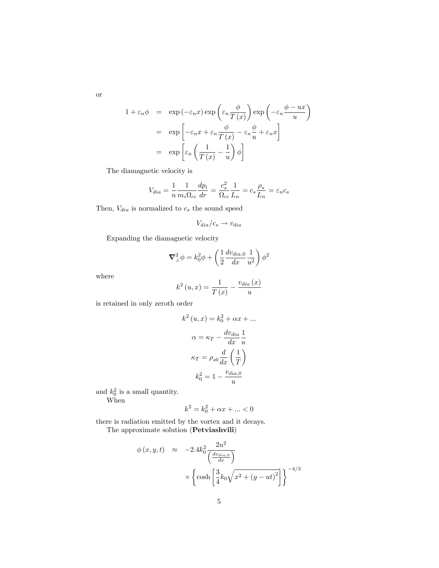$$
1 + \varepsilon_n \phi = \exp(-\varepsilon_n x) \exp\left(\varepsilon_n \frac{\phi}{T(x)}\right) \exp\left(-\varepsilon_n \frac{\phi - ux}{u}\right)
$$
  

$$
= \exp\left[-\varepsilon_n x + \varepsilon_n \frac{\phi}{T(x)} - \varepsilon_n \frac{\phi}{u} + \varepsilon_n x\right]
$$
  

$$
= \exp\left[\varepsilon_n \left(\frac{1}{T(x)} - \frac{1}{u}\right) \phi\right]
$$

The diamagnetic velocity is

$$
V_{dia} = \frac{1}{n} \frac{1}{m_i \Omega_{ci}} \frac{dp_i}{dr} = \frac{c_s^2}{\Omega_{ci}} \frac{1}{L_n} = c_s \frac{\rho_s}{L_n} = \varepsilon_n c_s
$$

Then,  $V_{dia}$  is normalized to  $c_s$  the sound speed

$$
V_{dia}/c_s \rightarrow v_{dia}
$$

Expanding the diamagnetic velocity

$$
\nabla_{\perp}^{2} \phi = k_0^2 \phi + \left(\frac{1}{2} \frac{dv_{dia,0}}{dx} \frac{1}{u^2}\right) \phi^2
$$

where

$$
k^{2}\left(u,x\right) = \frac{1}{T\left(x\right)} - \frac{v_{dia}\left(x\right)}{u}
$$

is retained in only zeroth order

$$
k^{2}(u, x) = k_{0}^{2} + \alpha x + \dots
$$

$$
\alpha = \kappa_{T} - \frac{dv_{dia}}{dx} \frac{1}{u}
$$

$$
\kappa_{T} = \rho_{s0} \frac{d}{dx} \left(\frac{1}{T}\right)
$$

$$
k_{0}^{2} = 1 - \frac{v_{dia,0}}{u}
$$

and  $k_0^2$  is a small quantity. When

$$
k^2=k_0^2+\alpha x+\ldots<0
$$

there is radiation emitted by the vortex and it decays.

The approximate solution (Petviashvili)

$$
\phi(x, y, t) \approx -2.4k_0^2 \frac{2u^2}{\left(\frac{dv_{dia,0}}{dx}\right)}
$$

$$
\times \left\{ \cosh\left[\frac{3}{4}k_0\sqrt{x^2 + (y - ut)^2}\right] \right\}^{-4/3}
$$

or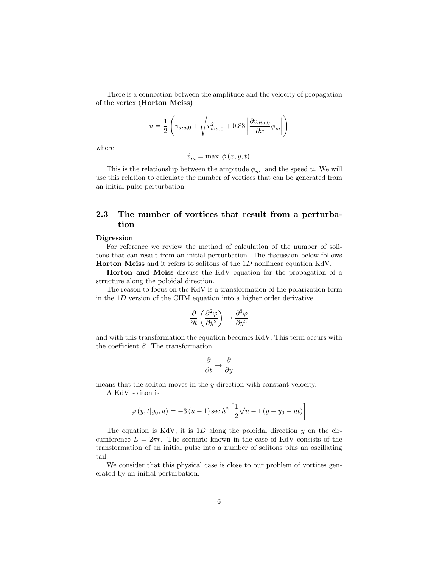There is a connection between the amplitude and the velocity of propagation of the vortex (Horton Meiss)

$$
u = \frac{1}{2} \left( v_{dia,0} + \sqrt{v_{dia,0}^2 + 0.83 \left| \frac{\partial v_{dia,0}}{\partial x} \phi_m \right|} \right)
$$

where

$$
\phi_m = \max |\phi(x, y, t)|
$$

This is the relationship between the ampitude  $\phi_m$  and the speed u. We will use this relation to calculate the number of vortices that can be generated from an initial pulse-perturbation.

# 2.3 The number of vortices that result from a perturbation

#### Digression

For reference we review the method of calculation of the number of solitons that can result from an initial perturbation. The discussion below follows Horton Meiss and it refers to solitons of the 1D nonlinear equation KdV.

Horton and Meiss discuss the KdV equation for the propagation of a structure along the poloidal direction.

The reason to focus on the KdV is a transformation of the polarization term in the 1D version of the CHM equation into a higher order derivative

$$
\frac{\partial}{\partial t}\left(\frac{\partial^2 \varphi}{\partial y^2}\right) \rightarrow \frac{\partial^3 \varphi}{\partial y^3}
$$

and with this transformation the equation becomes KdV. This term occurs with the coefficient  $\beta$ . The transformation

$$
\frac{\partial}{\partial t} \rightarrow \frac{\partial}{\partial y}
$$

means that the soliton moves in the y direction with constant velocity.

A KdV soliton is

$$
\varphi(y, t|y_0, u) = -3(u - 1)\sec h^2 \left[\frac{1}{2}\sqrt{u - 1}(y - y_0 - ut)\right]
$$

The equation is KdV, it is  $1D$  along the poloidal direction y on the circumference  $L = 2\pi r$ . The scenario known in the case of KdV consists of the transformation of an initial pulse into a number of solitons plus an oscillating tail.

We consider that this physical case is close to our problem of vortices generated by an initial perturbation.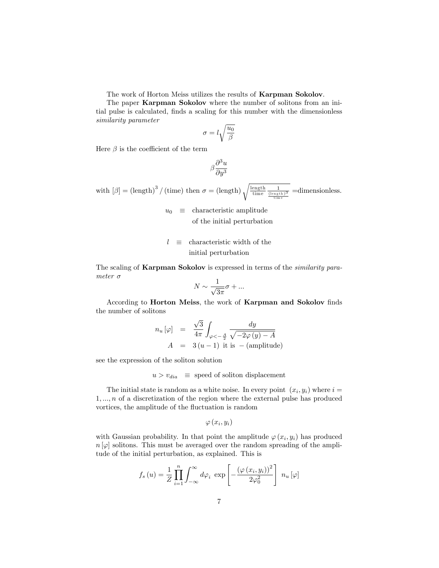The work of Horton Meiss utilizes the results of Karpman Sokolov.

The paper Karpman Sokolov where the number of solitons from an initial pulse is calculated, finds a scaling for this number with the dimensionless similarity parameter

$$
\sigma=l\sqrt{\frac{u_0}{\beta}}
$$

Here  $\beta$  is the coefficient of the term

$$
\beta\frac{\partial^3 u}{\partial y^3}
$$

with  $[\beta] = (\text{length})^3 / (\text{time})$  then  $\sigma = (\text{length}) \sqrt{\frac{\text{length}}{\text{time}} \frac{1}{(\text{length})^3}}$  =dimensionless.

 $u_0 \equiv$  characteristic amplitude of the initial perturbation

$$
l \equiv \text{characteristic width of the initial perturbation}
$$

The scaling of **Karpman Sokolov** is expressed in terms of the *similarity para*meter  $\sigma$ 

$$
N \sim \frac{1}{\sqrt{3\pi}}\sigma + \dots
$$

According to **Horton Meiss**, the work of **Karpman and Sokolov** finds the number of solitons

$$
n_u [\varphi] = \frac{\sqrt{3}}{4\pi} \int_{\varphi < -\frac{A}{2}} \frac{dy}{\sqrt{-2\varphi(y) - A}}
$$
  

$$
A = 3(u - 1) \text{ it is } -(\text{amplitude})
$$

see the expression of the soliton solution

 $u > v_{dia}$  = speed of soliton displacement

The initial state is random as a white noise. In every point  $(x_i, y_i)$  where  $i =$  $1,...,n$  of a discretization of the region where the external pulse has produced vortices, the amplitude of the fluctuation is random

$$
\varphi\left(x_{i},y_{i}\right)
$$

with Gaussian probability. In that point the amplitude  $\varphi(x_i, y_i)$  has produced  $n[\varphi]$  solitons. This must be averaged over the random spreading of the amplitude of the initial perturbation, as explained. This is

$$
f_s(u) = \frac{1}{Z} \prod_{i=1}^n \int_{-\infty}^{\infty} d\varphi_i \exp \left[ -\frac{\left(\varphi(x_i, y_i)\right)^2}{2\varphi_0^2} \right] n_u \left[\varphi\right]
$$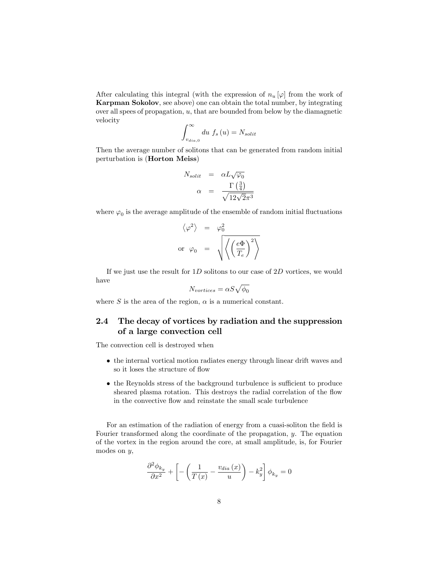After calculating this integral (with the expression of  $n_u [\varphi]$  from the work of Karpman Sokolov, see above) one can obtain the total number, by integrating over all spees of propagation,  $u$ , that are bounded from below by the diamagnetic velocity

$$
\int_{v_{dia,0}}^{\infty} du f_s(u) = N_{solit}
$$

Then the average number of solitons that can be generated from random initial perturbation is (Horton Meiss)

$$
N_{solit} = \alpha L \sqrt{\varphi_0}
$$

$$
\alpha = \frac{\Gamma(\frac{3}{4})}{\sqrt{12\sqrt{2}\pi^3}}
$$

where  $\varphi_0$  is the average amplitude of the ensemble of random initial fluctuations

$$
\langle \varphi^2 \rangle = \varphi_0^2
$$
  
or 
$$
\varphi_0 = \sqrt{\langle \left(\frac{e\Phi}{T_e}\right)^2 \rangle}
$$

If we just use the result for  $1D$  solitons to our case of  $2D$  vortices, we would have

$$
N_{vortices} = \alpha S \sqrt{\phi_0}
$$

where S is the area of the region,  $\alpha$  is a numerical constant.

# 2.4 The decay of vortices by radiation and the suppression of a large convection cell

The convection cell is destroyed when

- the internal vortical motion radiates energy through linear drift waves and so it loses the structure of flow
- $\bullet$  the Reynolds stress of the background turbulence is sufficient to produce sheared plasma rotation. This destroys the radial correlation of the flow in the convective flow and reinstate the small scale turbulence

For an estimation of the radiation of energy from a cuasi-soliton the field is Fourier transformed along the coordinate of the propagation,  $\eta$ . The equation of the vortex in the region around the core, at small amplitude, is, for Fourier modes on y,

$$
\frac{\partial^2 \phi_{k_y}}{\partial x^2} + \left[ -\left(\frac{1}{T(x)} - \frac{v_{dia}(x)}{u}\right) - k_y^2 \right] \phi_{k_y} = 0
$$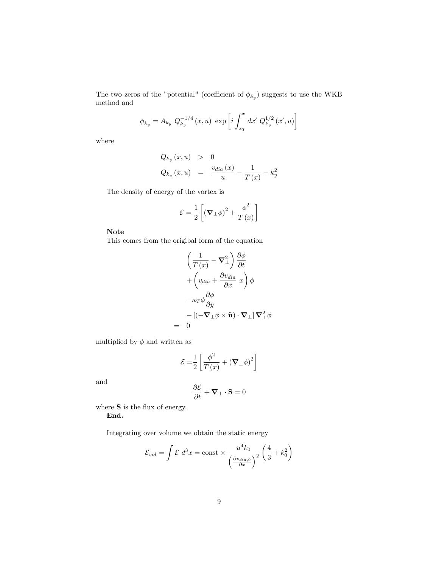The two zeros of the "potential" (coefficient of  $\phi_{k_y}$ ) suggests to use the WKB method and

$$
\phi_{k_y} = A_{k_y} Q_{k_y}^{-1/4} (x, u) \exp \left[ i \int_{x_T}^x dx' Q_{k_y}^{1/2} (x', u) \right]
$$

where

$$
Q_{k_y}(x, u) > 0
$$
  

$$
Q_{k_y}(x, u) = \frac{v_{dia}(x)}{u} - \frac{1}{T(x)} - k_y^2
$$

The density of energy of the vortex is

$$
\mathcal{E} = \frac{1}{2} \left[ \left( \mathbf{\nabla} \_{perp} \phi \right)^2 + \frac{\phi^2}{T \left( x \right)} \right]
$$

Note

This comes from the origibal form of the equation

$$
\left(\frac{1}{T(x)} - \nabla_{\perp}^{2}\right) \frac{\partial \phi}{\partial t}
$$

$$
+ \left(v_{dia} + \frac{\partial v_{dia}}{\partial x} x\right) \phi
$$

$$
- \kappa_{T} \phi \frac{\partial \phi}{\partial y}
$$

$$
- \left[(-\nabla_{\perp} \phi \times \hat{\mathbf{n}}) \cdot \nabla_{\perp}\right] \nabla_{\perp}^{2} \phi
$$

$$
= 0
$$

multiplied by  $\phi$  and written as

$$
\mathcal{E} = \frac{1}{2} \left[ \frac{\phi^2}{T(x)} + (\mathbf{\nabla}_{\perp} \phi)^2 \right]
$$

and

$$
\frac{\partial \mathcal{E}}{\partial t} + \boldsymbol{\nabla}_\perp \cdot \mathbf{S} = 0
$$

where  ${\bf S}$  is the flux of energy. End.

Integrating over volume we obtain the static energy

$$
\mathcal{E}_{vol} = \int \mathcal{E} d^3 x = \text{const} \times \frac{u^4 k_0}{\left(\frac{\partial v_{dia,0}}{\partial x}\right)^2} \left(\frac{4}{3} + k_0^2\right)
$$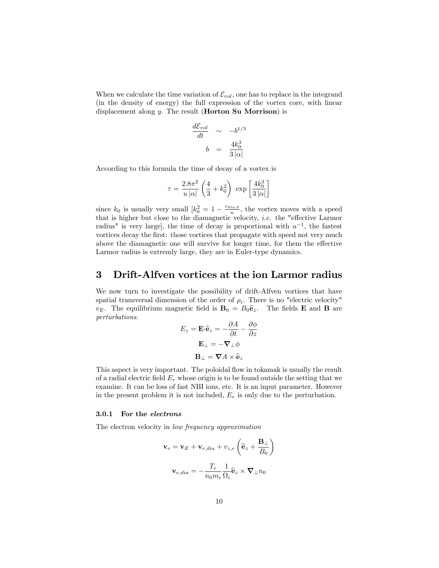When we calculate the time variation of  $\mathcal{E}_{vol}$ , one has to replace in the integrand (in the density of energy) the full expression of the vortex core, with linear displacement along y. The result (**Horton Su Morrison**) is

$$
\frac{d\mathcal{E}_{vol}}{dt} \sim -b^{1/3}
$$

$$
b = \frac{4k_0^3}{3|\alpha|}
$$

According to this formula the time of decay of a vortex is

$$
\tau = \frac{2.8\pi^2}{u\left|\alpha\right|} \left(\frac{4}{3} + k_0^2\right) \, \exp\left[\frac{4k_0^3}{3\left|\alpha\right|}\right]
$$

since  $k_0$  is usually very small  $\left[k_0^2 = 1 - \frac{v_{dia,0}}{u}\right]$ , the vortex moves with a speed that is higher but close to the diamagnetic velocity, *i.e.* the "effective Larmor" radius" is very large], the time of decay is proportional with  $u^{-1}$ , the fastest vortices decay the first: those vortices that propagate with speed not very much above the diamagnetic one will survive for longer time, for them the effective Larmor radius is extremly large, they are in Euler-type dynamics.

### 3 Drift-Alfven vortices at the ion Larmor radius

We now turn to investigate the possibility of drift-Alfven vortices that have spatial transversal dimension of the order of  $\rho_i$ . There is no "electric velocity"  $v_E$ . The equilibrium magnetic field is  $\mathbf{B}_0 = B_0 \hat{\mathbf{e}}_z$ . The fields **E** and **B** are perturbations.

$$
E_z = \mathbf{E} \cdot \hat{\mathbf{e}}_z = -\frac{\partial A}{\partial t} - \frac{\partial \phi}{\partial z}
$$

$$
\mathbf{E}_{\perp} = -\nabla_{\perp} \phi
$$

$$
\mathbf{B}_{\perp} = \nabla A \times \hat{\mathbf{e}}_z
$$

This aspect is very important. The poloidal flow in tokamak is usually the result of a radial electric field  $E_r$  whose origin is to be found outside the setting that we examine. It can be loss of fast NBI ions, etc. It is an input parameter. However in the present problem it is not included,  $E_r$  is only due to the perturbation.

#### 3.0.1 For the electrons

The electron velocity in low frequency approximation

$$
\mathbf{v}_e = \mathbf{v}_E + \mathbf{v}_{e,dia} + v_{z,e} \left( \hat{\mathbf{e}}_z + \frac{\mathbf{B}_\perp}{B_0} \right)
$$

$$
\mathbf{v}_{e,dia} = -\frac{T_e}{n_0 m_i} \frac{1}{\Omega_i} \hat{\mathbf{e}}_z \times \mathbf{\nabla}_\perp n_0
$$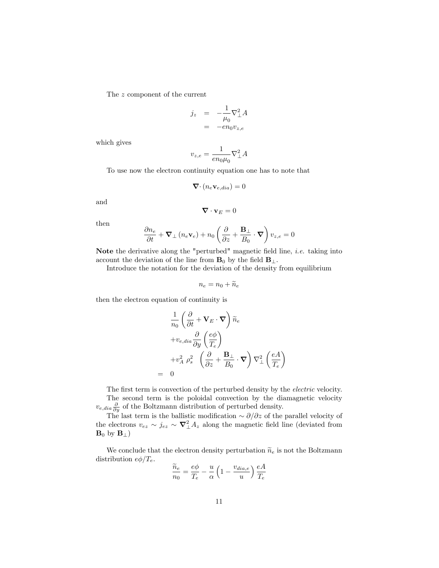The z component of the current

$$
\begin{array}{rcl}\nj_z & = & -\frac{1}{\mu_0} \nabla_{\perp}^2 A \\
& = & -e n_0 v_{z,e}\n\end{array}
$$

which gives

$$
v_{z,e}=\frac{1}{en_0\mu_0}\nabla_\perp^2 A
$$

To use now the electron continuity equation one has to note that

$$
\nabla \cdot (n_e \mathbf{v}_{e,dia}) = 0
$$

and

$$
\mathbf{\nabla}\cdot\mathbf{v}_E=0
$$

then

$$
\frac{\partial n_e}{\partial t} + \boldsymbol{\nabla}_\perp \left( n_e \boldsymbol{\mathrm{v}}_e \right) + n_0 \left( \frac{\partial}{\partial z} + \frac{\boldsymbol{\mathrm{B}}_\perp}{B_0} \cdot \boldsymbol{\nabla} \right) v_{z,e} = 0
$$

Note the derivative along the "perturbed" magnetic field line, *i.e.* taking into account the deviation of the line from  $B_0$  by the field  $B_{\perp}$ .

Introduce the notation for the deviation of the density from equilibrium

$$
n_e = n_0 + \widetilde{n}_e
$$

then the electron equation of continuity is

$$
\frac{1}{n_0} \left( \frac{\partial}{\partial t} + \mathbf{V}_E \cdot \nabla \right) \widetilde{n}_e
$$
\n
$$
+ v_{e,dia} \frac{\partial}{\partial y} \left( \frac{e\phi}{T_e} \right)
$$
\n
$$
+ v_A^2 \rho_s^2 \left( \frac{\partial}{\partial z} + \frac{\mathbf{B}_\perp}{B_0} \cdot \nabla \right) \nabla_\perp^2 \left( \frac{eA}{T_e} \right)
$$
\n
$$
= 0
$$

The first term is convection of the perturbed density by the *electric* velocity. The second term is the poloidal convection by the diamagnetic velocity  $v_{e,dia} \frac{\partial}{\partial y}$  of the Boltzmann distribution of perturbed density.

The last term is the ballistic modification  $\sim \partial/\partial z$  of the parallel velocity of the electrons  $v_{ez} \sim j_{ez} \sim \nabla_{\perp}^2 A_z$  along the magnetic field line (deviated from  $\mathbf{B}_0$  by  $\mathbf{B}_{\perp}$ 

We conclude that the electron density perturbation  $\tilde{n}_e$  is not the Boltzmann ribution  $e\phi/T_e$ . distribution  $e\phi/T_e$ .

$$
\frac{\widetilde{n}_e}{n_0} = \frac{e\phi}{T_e} - \frac{u}{\alpha} \left( 1 - \frac{v_{dia,e}}{u} \right) \frac{eA}{T_e}
$$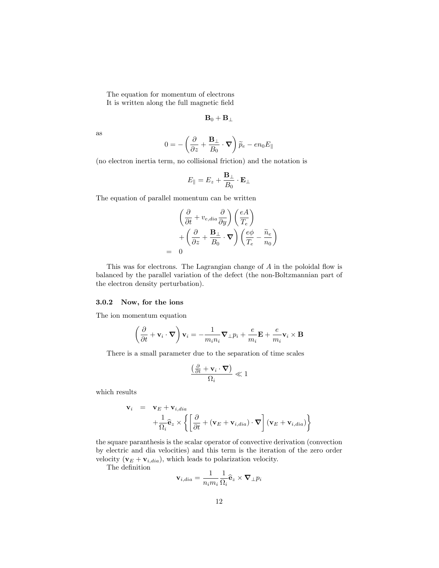The equation for momentum of electrons It is written along the full magnetic field

$$
\mathbf{B}_0+\mathbf{B}_{\perp}
$$

as

$$
0 = - \left( \frac{\partial}{\partial z} + \frac{{\bf B}_\perp}{B_0} \cdot {\bf \nabla} \right) \widetilde{p}_e - e n_0 E_\parallel
$$

(no electron inertia term, no collisional friction) and the notation is

$$
E_\parallel = E_z + \frac{{\bf B}_\perp}{B_0} \cdot {\bf E}_\perp
$$

The equation of parallel momentum can be written

$$
\left(\frac{\partial}{\partial t} + v_{e,dia} \frac{\partial}{\partial y}\right) \left(\frac{eA}{T_e}\right) \n+ \left(\frac{\partial}{\partial z} + \frac{\mathbf{B}_{\perp}}{B_0} \cdot \nabla\right) \left(\frac{e\phi}{T_e} - \frac{\widetilde{n}_e}{n_0}\right) \n= 0
$$

This was for electrons. The Lagrangian change of  $A$  in the poloidal flow is balanced by the parallel variation of the defect (the non-Boltzmannian part of the electron density perturbation).

#### 3.0.2 Now, for the ions

The ion momentum equation

$$
\left(\frac{\partial}{\partial t}+\mathbf{v}_i\cdot\boldsymbol{\nabla}\right)\mathbf{v}_i=-\frac{1}{m_in_i}\boldsymbol{\nabla}_\perp p_i+\frac{e}{m_i}\mathbf{E}+\frac{e}{m_i}\mathbf{v}_i\times\mathbf{B}
$$

There is a small parameter due to the separation of time scales

$$
\frac{\left(\frac{\partial}{\partial t}+\mathbf{v}_i\cdot\boldsymbol{\nabla}\right)}{\Omega_i}\ll 1
$$

which results

$$
\mathbf{v}_{i} = \mathbf{v}_{E} + \mathbf{v}_{i,dia}
$$

$$
+ \frac{1}{\Omega_{i}} \hat{\mathbf{e}}_{z} \times \left\{ \left[ \frac{\partial}{\partial t} + (\mathbf{v}_{E} + \mathbf{v}_{i,dia}) \cdot \nabla \right] (\mathbf{v}_{E} + \mathbf{v}_{i,dia}) \right\}
$$

the square paranthesis is the scalar operator of convective derivation (convection by electric and dia velocities) and this term is the iteration of the zero order velocity  $(\mathbf{v}_E + \mathbf{v}_{i,dia})$ , which leads to polarization velocity.

The definition

$$
\mathbf{v}_{i,dia} = \frac{1}{n_i m_i} \frac{1}{\Omega_i} \mathbf{\hat{e}}_z \times \mathbf{\nabla}_{\perp} p_i
$$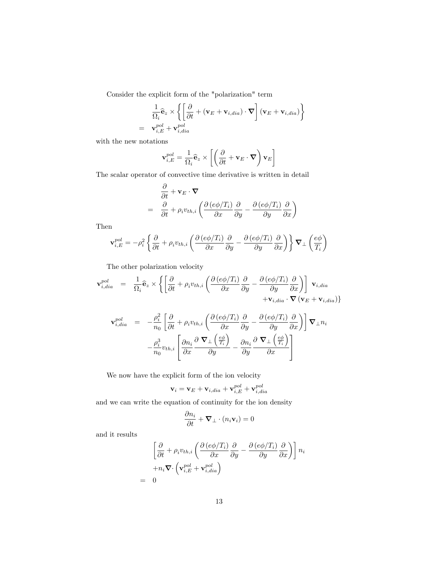Consider the explicit form of the "polarization" term

$$
\frac{1}{\Omega_i} \hat{\mathbf{e}}_z \times \left\{ \left[ \frac{\partial}{\partial t} + (\mathbf{v}_E + \mathbf{v}_{i,dia}) \cdot \mathbf{\nabla} \right] (\mathbf{v}_E + \mathbf{v}_{i,dia}) \right\}
$$
\n
$$
= \mathbf{v}_{i,E}^{pol} + \mathbf{v}_{i,dia}^{pol}
$$

with the new notations

$$
\mathbf{v}_{i,E}^{pol}=\frac{1}{\Omega_i}\widehat{\mathbf{e}}_z\times\left[\left(\frac{\partial}{\partial t}+\mathbf{v}_E\cdot\boldsymbol{\nabla}\right)\mathbf{v}_E\right]
$$

The scalar operator of convective time derivative is written in detail

$$
\frac{\partial}{\partial t} + \mathbf{v}_E \cdot \nabla
$$
\n
$$
= \frac{\partial}{\partial t} + \rho_i v_{th,i} \left( \frac{\partial (e\phi/T_i)}{\partial x} \frac{\partial}{\partial y} - \frac{\partial (e\phi/T_i)}{\partial y} \frac{\partial}{\partial x} \right)
$$

Then

$$
\mathbf{v}_{i,E}^{pol} = -\rho_i^2 \left\{ \frac{\partial}{\partial t} + \rho_i v_{th,i} \left( \frac{\partial \left( e\phi/T_i \right)}{\partial x} \frac{\partial}{\partial y} - \frac{\partial \left( e\phi/T_i \right)}{\partial y} \frac{\partial}{\partial x} \right) \right\} \nabla_\perp \left( \frac{e\phi}{T_i} \right)
$$

The other polarization velocity

$$
\mathbf{v}_{i,dia}^{pol} = \frac{1}{\Omega_i} \hat{\mathbf{e}}_z \times \left\{ \left[ \frac{\partial}{\partial t} + \rho_i v_{th,i} \left( \frac{\partial (e\phi/T_i)}{\partial x} \frac{\partial}{\partial y} - \frac{\partial (e\phi/T_i)}{\partial y} \frac{\partial}{\partial x} \right) \right] \mathbf{v}_{i,dia} + \mathbf{v}_{i,dia} \cdot \nabla (\mathbf{v}_E + \mathbf{v}_{i,dia}) \right\}
$$

$$
\mathbf{v}_{i,dia}^{pol} = -\frac{\rho_i^2}{n_0} \left[ \frac{\partial}{\partial t} + \rho_i v_{th,i} \left( \frac{\partial (e\phi/T_i)}{\partial x} \frac{\partial}{\partial y} - \frac{\partial (e\phi/T_i)}{\partial y} \frac{\partial}{\partial x} \right) \right] \nabla_{\perp} n_i
$$

$$
-\frac{\rho_i^3}{n_0} v_{th,i} \left[ \frac{\partial n_i}{\partial x} \frac{\partial \nabla_{\perp} \left( \frac{e\phi}{T_i} \right)}{\partial y} - \frac{\partial n_i}{\partial y} \frac{\partial \nabla_{\perp} \left( \frac{e\phi}{T_i} \right)}{\partial x} \right]
$$

We now have the explicit form of the ion velocity

$$
\mathbf{v}_i = \mathbf{v}_E + \mathbf{v}_{i,dia} + \mathbf{v}_{i,E}^{pol} + \mathbf{v}_{i,dia}^{pol}
$$

and we can write the equation of continuity for the ion density

$$
\frac{\partial n_i}{\partial t} + \mathbf{\nabla}_\perp \cdot (n_i \mathbf{v}_i) = 0
$$

and it results

$$
\left[\frac{\partial}{\partial t} + \rho_i v_{th,i} \left( \frac{\partial (e\phi/T_i)}{\partial x} \frac{\partial}{\partial y} - \frac{\partial (e\phi/T_i)}{\partial y} \frac{\partial}{\partial x} \right) \right] n_i
$$

$$
+ n_i \nabla \cdot \left( \mathbf{v}_{i,E}^{pol} + \mathbf{v}_{i,dia}^{pol} \right)
$$

$$
= 0
$$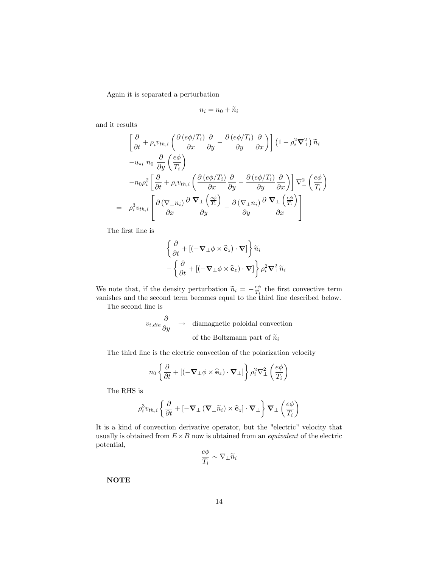Again it is separated a perturbation

$$
n_i = n_0 + \widetilde{n}_i
$$

and it results

$$
\left[\frac{\partial}{\partial t} + \rho_i v_{th,i} \left( \frac{\partial (e\phi/T_i)}{\partial x} \frac{\partial}{\partial y} - \frac{\partial (e\phi/T_i)}{\partial y} \frac{\partial}{\partial x} \right) \right] \left(1 - \rho_i^2 \nabla_{\perp}^2 \right) \widetilde{n}_i
$$
  

$$
-u_{*i} n_0 \frac{\partial}{\partial y} \left( \frac{e\phi}{T_i} \right)
$$
  

$$
-n_0 \rho_i^2 \left[ \frac{\partial}{\partial t} + \rho_i v_{th,i} \left( \frac{\partial (e\phi/T_i)}{\partial x} \frac{\partial}{\partial y} - \frac{\partial (e\phi/T_i)}{\partial y} \frac{\partial}{\partial x} \right) \right] \nabla_{\perp}^2 \left( \frac{e\phi}{T_i} \right)
$$
  

$$
= \rho_i^3 v_{th,i} \left[ \frac{\partial (\nabla_{\perp} n_i)}{\partial x} \frac{\partial \nabla_{\perp} \left( \frac{e\phi}{T_i} \right)}{\partial y} - \frac{\partial (\nabla_{\perp} n_i)}{\partial y} \frac{\partial \nabla_{\perp} \left( \frac{e\phi}{T_i} \right)}{\partial x} \right]
$$

The first line is

$$
\begin{aligned}\n&\left\{\frac{\partial}{\partial t} + \left[(-\boldsymbol{\nabla}_{\perp}\phi \times \widehat{\mathbf{e}}_{z}) \cdot \boldsymbol{\nabla}\right]\right\}\widetilde{n}_{i} \\
&- \left\{\frac{\partial}{\partial t} + \left[(-\boldsymbol{\nabla}_{\perp}\phi \times \widehat{\mathbf{e}}_{z}) \cdot \boldsymbol{\nabla}\right]\right\} \rho_{i}^{2} \boldsymbol{\nabla}_{\perp}^{2} \widetilde{n}_{i}\n\end{aligned}
$$

We note that, if the density perturbation  $\widetilde{n}_i = -\frac{e\phi}{T_i}$  the first convective term vanishes and the second term becomes equal to the third line described below.

The second line is

$$
v_{i,dia} \frac{\partial}{\partial y} \rightarrow \text{ diamagnetic poloidal convection}
$$
  
of the Boltzmann part of  $\tilde{n}_i$ 

The third line is the electric convection of the polarization velocity

$$
n_0 \left\{ \frac{\partial}{\partial t} + \left[ (-\nabla_{\perp} \phi \times \hat{\mathbf{e}}_z) \cdot \nabla_{\perp} \right] \right\} \rho_i^2 \nabla_{\perp}^2 \left( \frac{e\phi}{T_i} \right)
$$

The RHS is

$$
\rho_i^3 v_{th,i} \left\{ \frac{\partial}{\partial t} + \left[ - \boldsymbol{\nabla}_\perp \left( \boldsymbol{\nabla}_\perp \widetilde{n}_i \right) \times \widehat{\mathbf{e}}_z \right] \cdot \boldsymbol{\nabla}_\perp \right\} \boldsymbol{\nabla}_\perp \left( \frac{e \phi}{T_i} \right)
$$

It is a kind of convection derivative operator, but the "electric" velocity that usually is obtained from  $E \times B$  now is obtained from an *equivalent* of the electric potential,

$$
\frac{e\phi}{T_i}\sim \nabla_\perp \widetilde{n}_i
$$

NOTE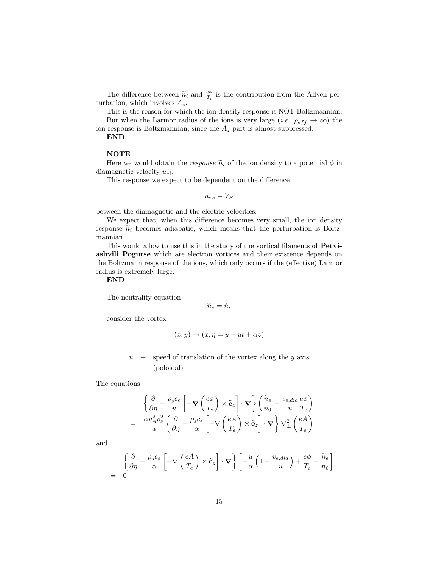The difference between  $\widetilde{n}_i$  and  $\frac{e\phi}{T_i}$  is the contribution from the Alfven perturbation, which involves  $A_z$ .

This is the reason for which the ion density response is NOT Boltzmannian. But when the Larmor radius of the ions is very large (*i.e.*  $\rho_{eff} \rightarrow \infty$ ) the

ion response is Boltzmannian, since the  $A_z$  part is almost suppressed.

END

### **NOTE**

Here we would obtain the *response*  $\tilde{n}_i$  of the ion density to a potential  $\phi$  in diamagnetic velocity  $u_{*i}$ .

This response we expect to be dependent on the difference

$$
u_{*,i} - V_E
$$

between the diamagnetic and the electric velocities.

We expect that, when this difference becomes very small, the ion density response  $\tilde{n}_i$  becomes adiabatic, which means that the perturbation is Boltzmannian.

This would allow to use this in the study of the vortical filaments of **Petvi**ashvili Pogutse which are electron vortices and their existence depends on the Boltzmann response of the ions, which only occurs if the (effective) Larmor radius is extremely large.

END

The neutrality equation

 $\widetilde{n}_e = \widetilde{n}_i$ 

consider the vortex

$$
(x, y) \rightarrow (x, \eta = y - ut + \alpha z)
$$

 $u \equiv$  speed of translation of the vortex along the y axis (poloidal)

The equations

$$
\begin{split} &\left\{ \frac{\partial}{\partial \eta} - \frac{\rho_s c_s}{u} \left[ -\boldsymbol{\nabla} \left( \frac{e\phi}{T_e} \right) \times \hat{\mathbf{e}}_z \right] \cdot \boldsymbol{\nabla} \right\} \left( \frac{\widetilde{n}_e}{n_0} - \frac{v_{e,dia}}{u} \frac{e\phi}{T_e} \right) \\ & = \frac{\alpha v_A^2 \rho_s^2}{u} \left\{ \frac{\partial}{\partial \eta} - \frac{\rho_s c_s}{\alpha} \left[ -\nabla \left( \frac{eA}{T_e} \right) \times \hat{\mathbf{e}}_z \right] \cdot \boldsymbol{\nabla} \right\} \nabla_\perp^2 \left( \frac{eA}{T_e} \right) \end{split}
$$

and

$$
\begin{aligned}\n&\left\{\frac{\partial}{\partial \eta} - \frac{\rho_s c_s}{\alpha} \left[ -\nabla \left( \frac{eA}{T_e} \right) \times \hat{\mathbf{e}}_z \right] \cdot \nabla \right\} \left[ -\frac{u}{\alpha} \left( 1 - \frac{v_{e,dia}}{u} \right) + \frac{e\phi}{T_e} - \frac{\tilde{n}_e}{n_0} \right]\n\end{aligned}
$$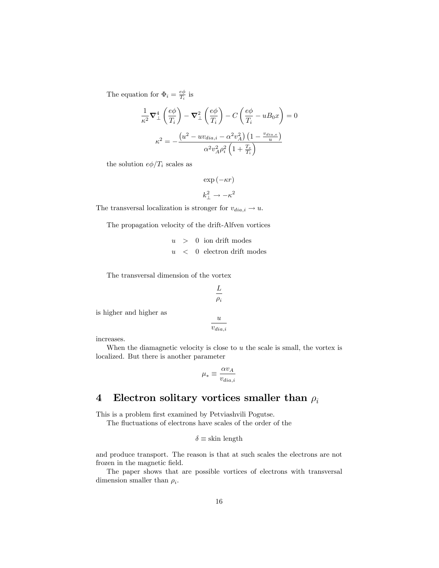The equation for  $\Phi_i = \frac{e\phi}{T_i}$  is

$$
\frac{1}{\kappa^2} \nabla_{\perp}^4 \left( \frac{e\phi}{T_i} \right) - \nabla_{\perp}^2 \left( \frac{e\phi}{T_i} \right) - C \left( \frac{e\phi}{T_i} - uB_0 x \right) = 0
$$

$$
\kappa^2 = -\frac{\left( u^2 - u\upsilon_{dia,i} - \alpha^2 \upsilon_A^2 \right) \left( 1 - \frac{\upsilon_{dia,e}}{u} \right)}{\alpha^2 \upsilon_A^2 \rho_i^2 \left( 1 + \frac{T_e}{T_i} \right)}
$$

the solution  $e\phi/T_i$  scales as

 $\exp(-\kappa r)$ 

$$
k_{\perp}^2 \to -\kappa^2
$$

The transversal localization is stronger for  $v_{dia,i} \rightarrow u$ .

The propagation velocity of the drift-Alfven vortices

 $u > 0$  ion drift modes  $u \sim 0$  electron drift modes

The transversal dimension of the vortex

is higher and higher as

$$
\frac{u}{v_{dia,i}}
$$

L  $\rho_i$ 

increases.

When the diamagnetic velocity is close to  $u$  the scale is small, the vortex is localized. But there is another parameter

$$
\mu_*\equiv\frac{\alpha v_A}{v_{dia,i}}
$$

# 4 Electron solitary vortices smaller than  $\rho_i$

This is a problem first examined by Petviashvili Pogutse.

The fluctuations of electrons have scales of the order of the

$$
\delta \equiv \text{skin length}
$$

and produce transport. The reason is that at such scales the electrons are not frozen in the magnetic field.

The paper shows that are possible vortices of electrons with transversal dimension smaller than  $\rho_i$ .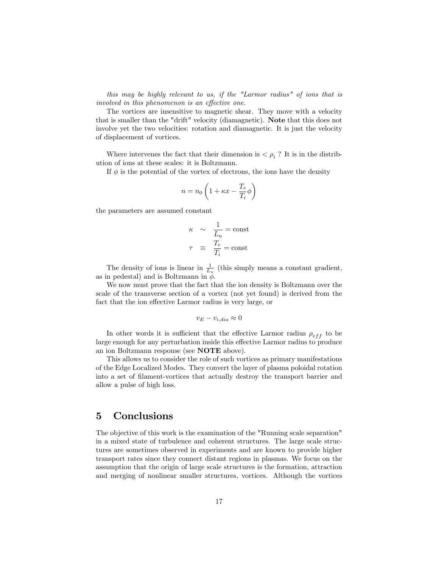this may be highly relevant to us, if the "Larmor radius" of ions that is involved in this phenomenon is an effective one.

The vortices are insensitive to magnetic shear. They move with a velocity that is smaller than the "drift" velocity (diamagnetic). Note that this does not involve yet the two velocities: rotation and diamagnetic. It is just the velocity of displacement of vortices.

Where intervenes the fact that their dimension is  $\langle \rho_i \rangle$ ? It is in the distribution of ions at these scales: it is Boltzmann.

If  $\phi$  is the potential of the vortex of electrons, the ions have the density

$$
n = n_0 \left( 1 + \kappa x - \frac{T_e}{T_i} \phi \right)
$$

the parameters are assumed constant

$$
\kappa \sim \frac{1}{L_n} = \text{const}
$$

$$
\tau \equiv \frac{T_e}{T_i} = \text{const}
$$

The density of ions is linear in  $\frac{1}{L_n}$  (this simply means a constant gradient, as in pedestal) and is Boltzmann in  $\ddot{\phi}$ .

We now must prove that the fact that the ion density is Boltzmann over the scale of the transverse section of a vortex (not yet found) is derived from the fact that the ion effective Larmor radius is very large, or

$$
v_E - v_{i,dia} \approx 0
$$

In other words it is sufficient that the effective Larmor radius  $\rho_{eff}$  to be large enough for any perturbation inside this effective Larmor radius to produce an ion Boltzmann response (see NOTE above).

This allows us to consider the role of such vortices as primary manifestations of the Edge Localized Modes. They convert the layer of plasma poloidal rotation into a set of Ölament-vortices that actually destroy the transport barrier and allow a pulse of high loss.

### 5 Conclusions

The objective of this work is the examination of the "Running scale separation" in a mixed state of turbulence and coherent structures. The large scale structures are sometimes observed in experiments and are known to provide higher transport rates since they connect distant regions in plasmas. We focus on the assumption that the origin of large scale structures is the formation, attraction and merging of nonlinear smaller structures, vortices. Although the vortices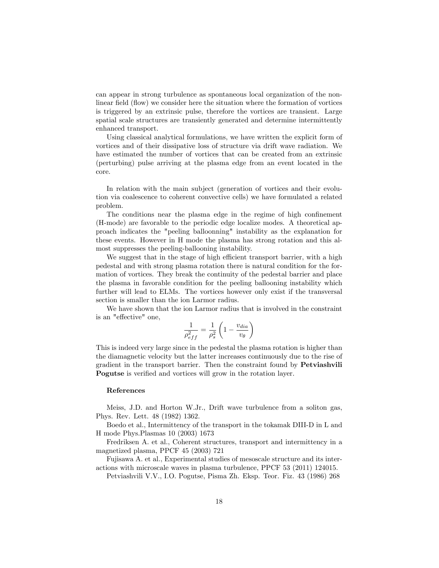can appear in strong turbulence as spontaneous local organization of the nonlinear field (flow) we consider here the situation where the formation of vortices is triggered by an extrinsic pulse, therefore the vortices are transient. Large spatial scale structures are transiently generated and determine intermittently enhanced transport.

Using classical analytical formulations, we have written the explicit form of vortices and of their dissipative loss of structure via drift wave radiation. We have estimated the number of vortices that can be created from an extrinsic (perturbing) pulse arriving at the plasma edge from an event located in the core.

In relation with the main subject (generation of vortices and their evolution via coalescence to coherent convective cells) we have formulated a related problem.

The conditions near the plasma edge in the regime of high confinement (H-mode) are favorable to the periodic edge localize modes. A theoretical approach indicates the "peeling balloonning" instability as the explanation for these events. However in H mode the plasma has strong rotation and this almost suppresses the peeling-ballooning instability.

We suggest that in the stage of high efficient transport barrier, with a high pedestal and with strong plasma rotation there is natural condition for the formation of vortices. They break the continuity of the pedestal barrier and place the plasma in favorable condition for the peeling ballooning instability which further will lead to ELMs. The vortices however only exist if the transversal section is smaller than the ion Larmor radius.

We have shown that the ion Larmor radius that is involved in the constraint is an "effective" one,

$$
\frac{1}{\rho_{eff}^2} = \frac{1}{\rho_s^2} \left( 1 - \frac{v_{dia}}{v_{\theta}} \right)
$$

This is indeed very large since in the pedestal the plasma rotation is higher than the diamagnetic velocity but the latter increases continuously due to the rise of gradient in the transport barrier. Then the constraint found by Petviashvili Pogutse is verified and vortices will grow in the rotation layer.

### References

Meiss, J.D. and Horton W.Jr., Drift wave turbulence from a soliton gas, Phys. Rev. Lett. 48 (1982) 1362.

Boedo et al., Intermittency of the transport in the tokamak DIII-D in L and H mode Phys.Plasmas 10 (2003) 1673

Fredriksen A. et al., Coherent structures, transport and intermittency in a magnetized plasma, PPCF 45 (2003) 721

Fujisawa A. et al., Experimental studies of mesoscale structure and its interactions with microscale waves in plasma turbulence, PPCF 53 (2011) 124015.

Petviashvili V.V., I.O. Pogutse, Pisma Zh. Eksp. Teor. Fiz. 43 (1986) 268